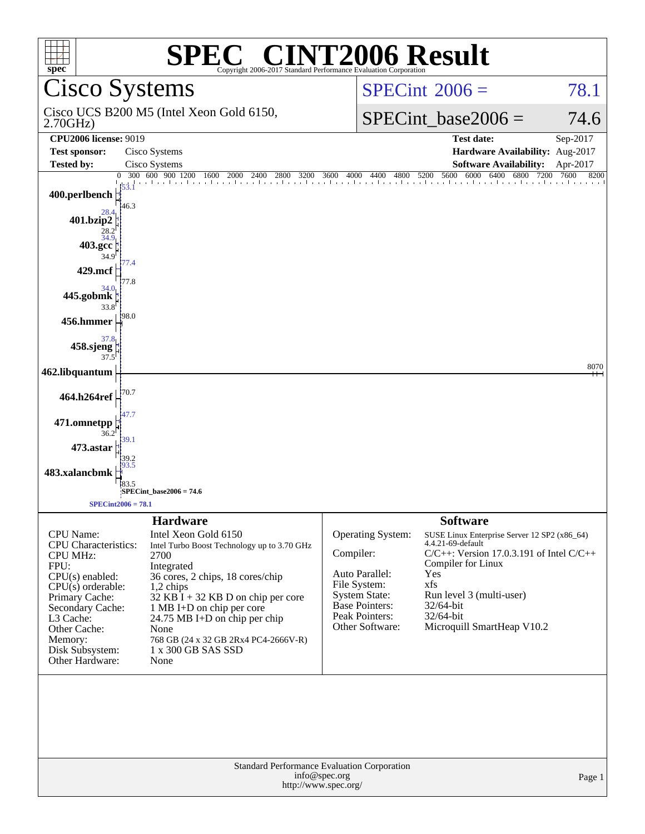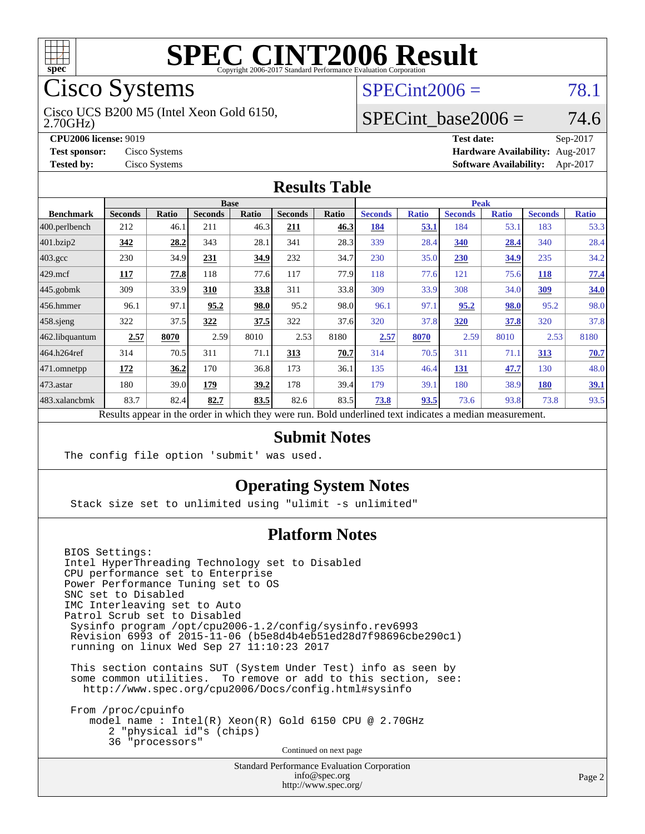

# Cisco Systems

2.70GHz) Cisco UCS B200 M5 (Intel Xeon Gold 6150,

## $SPECint2006 = 78.1$  $SPECint2006 = 78.1$

#### SPECint base2006 =  $74.6$

**[CPU2006 license:](http://www.spec.org/auto/cpu2006/Docs/result-fields.html#CPU2006license)** 9019 **[Test date:](http://www.spec.org/auto/cpu2006/Docs/result-fields.html#Testdate)** Sep-2017 **[Test sponsor:](http://www.spec.org/auto/cpu2006/Docs/result-fields.html#Testsponsor)** Cisco Systems **[Hardware Availability:](http://www.spec.org/auto/cpu2006/Docs/result-fields.html#HardwareAvailability)** Aug-2017 **[Tested by:](http://www.spec.org/auto/cpu2006/Docs/result-fields.html#Testedby)** Cisco Systems **[Software Availability:](http://www.spec.org/auto/cpu2006/Docs/result-fields.html#SoftwareAvailability)** Apr-2017

#### **[Results Table](http://www.spec.org/auto/cpu2006/Docs/result-fields.html#ResultsTable)**

|                                                                                                          | <b>Base</b>    |       |                |       |                | <b>Peak</b> |                |              |                |              |                |              |
|----------------------------------------------------------------------------------------------------------|----------------|-------|----------------|-------|----------------|-------------|----------------|--------------|----------------|--------------|----------------|--------------|
| <b>Benchmark</b>                                                                                         | <b>Seconds</b> | Ratio | <b>Seconds</b> | Ratio | <b>Seconds</b> | Ratio       | <b>Seconds</b> | <b>Ratio</b> | <b>Seconds</b> | <b>Ratio</b> | <b>Seconds</b> | <b>Ratio</b> |
| 400.perlbench                                                                                            | 212            | 46.1  | 211            | 46.3  | 211            | 46.3        | 184            | <u>53.1</u>  | 184            | 53.1         | 183            | 53.3         |
| 401.bzip2                                                                                                | <u>342</u>     | 28.2  | 343            | 28.1  | 341            | 28.3        | 339            | 28.4         | 340            | 28.4         | 340            | 28.4         |
| $403.\mathrm{gcc}$                                                                                       | 230            | 34.9  | 231            | 34.9  | 232            | 34.7        | 230            | 35.0         | 230            | 34.9         | 235            | 34.2         |
| $429$ mcf                                                                                                | 117            | 77.8  | 118            | 77.6  | 117            | 77.9        | 118            | 77.6         | 121            | 75.6         | 118            | 77.4         |
| $445$ .gobmk                                                                                             | 309            | 33.9  | 310            | 33.8  | 311            | 33.8        | 309            | 33.9         | 308            | 34.0         | <u>309</u>     | 34.0         |
| $456.$ hmmer                                                                                             | 96.1           | 97.1  | 95.2           | 98.0  | 95.2           | 98.0        | 96.1           | 97.1         | 95.2           | 98.0         | 95.2           | 98.0         |
| $458$ .sjeng                                                                                             | 322            | 37.5  | 322            | 37.5  | 322            | 37.6        | 320            | 37.8         | 320            | 37.8         | 320            | 37.8         |
| 462.libquantum                                                                                           | 2.57           | 8070  | 2.59           | 8010  | 2.53           | 8180        | 2.57           | 8070         | 2.59           | 8010         | 2.53           | 8180         |
| 464.h264ref                                                                                              | 314            | 70.5  | 311            | 71.1  | 313            | 70.7        | 314            | 70.5         | 311            | 71.1         | 313            | 70.7         |
| 471.omnetpp                                                                                              | 172            | 36.2  | 170            | 36.8  | 173            | 36.1        | 135            | 46.4         | 131            | 47.7         | 130            | 48.0         |
| 473.astar                                                                                                | 180            | 39.0  | 179            | 39.2  | 178            | 39.4        | 179            | 39.1         | 180            | 38.9         | <b>180</b>     | 39.1         |
| 483.xalancbmk                                                                                            | 83.7           | 82.4  | 82.7           | 83.5  | 82.6           | 83.5        | 73.8           | 93.5         | 73.6           | 93.8         | 73.8           | 93.5         |
| Results appear in the order in which they were run. Bold underlined text indicates a median measurement. |                |       |                |       |                |             |                |              |                |              |                |              |

#### **[Submit Notes](http://www.spec.org/auto/cpu2006/Docs/result-fields.html#SubmitNotes)**

The config file option 'submit' was used.

#### **[Operating System Notes](http://www.spec.org/auto/cpu2006/Docs/result-fields.html#OperatingSystemNotes)**

Stack size set to unlimited using "ulimit -s unlimited"

#### **[Platform Notes](http://www.spec.org/auto/cpu2006/Docs/result-fields.html#PlatformNotes)**

BIOS Settings: Intel HyperThreading Technology set to Disabled CPU performance set to Enterprise Power Performance Tuning set to OS SNC set to Disabled IMC Interleaving set to Auto Patrol Scrub set to Disabled Sysinfo program /opt/cpu2006-1.2/config/sysinfo.rev6993 Revision 6993 of 2015-11-06 (b5e8d4b4eb51ed28d7f98696cbe290c1) running on linux Wed Sep 27 11:10:23 2017

 This section contains SUT (System Under Test) info as seen by some common utilities. To remove or add to this section, see: <http://www.spec.org/cpu2006/Docs/config.html#sysinfo>

 From /proc/cpuinfo model name : Intel(R) Xeon(R) Gold 6150 CPU @ 2.70GHz 2 "physical id"s (chips) 36 "processors" Continued on next page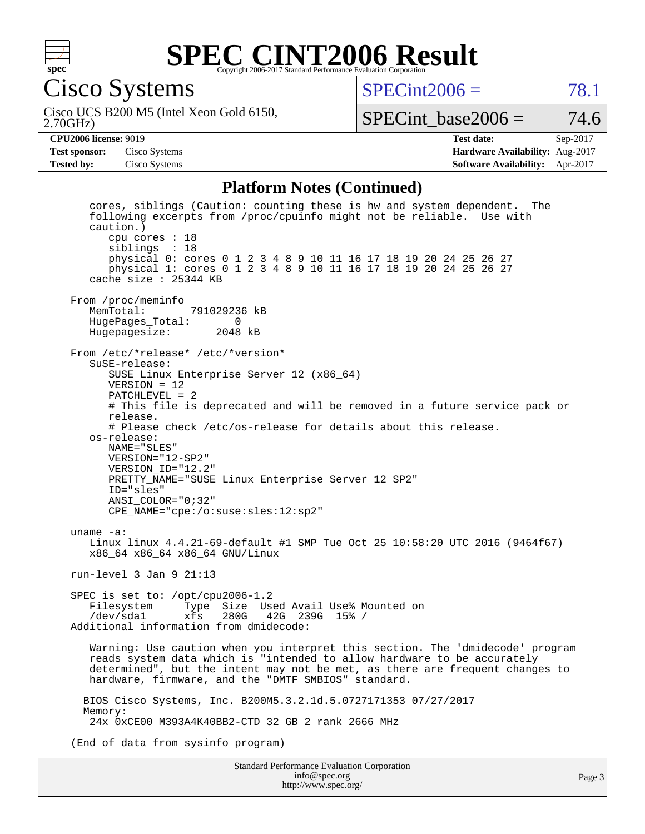

#### **[SPEC CINT2006 Result](http://www.spec.org/auto/cpu2006/Docs/result-fields.html#SPECCINT2006Result)** Copyright 2006-2017 Standard Performance Evaluation Corporation

Cisco Systems

 $SPECint2006 = 78.1$  $SPECint2006 = 78.1$ 

2.70GHz) Cisco UCS B200 M5 (Intel Xeon Gold 6150,

SPECint base2006 =  $74.6$ 

**[CPU2006 license:](http://www.spec.org/auto/cpu2006/Docs/result-fields.html#CPU2006license)** 9019 **[Test date:](http://www.spec.org/auto/cpu2006/Docs/result-fields.html#Testdate)** Sep-2017 **[Test sponsor:](http://www.spec.org/auto/cpu2006/Docs/result-fields.html#Testsponsor)** Cisco Systems **[Hardware Availability:](http://www.spec.org/auto/cpu2006/Docs/result-fields.html#HardwareAvailability)** Aug-2017 **[Tested by:](http://www.spec.org/auto/cpu2006/Docs/result-fields.html#Testedby)** Cisco Systems **[Software Availability:](http://www.spec.org/auto/cpu2006/Docs/result-fields.html#SoftwareAvailability)** Apr-2017

#### **[Platform Notes \(Continued\)](http://www.spec.org/auto/cpu2006/Docs/result-fields.html#PlatformNotes)**

 cores, siblings (Caution: counting these is hw and system dependent. The following excerpts from /proc/cpuinfo might not be reliable. Use with caution.) cpu cores : 18 siblings : 18 physical 0: cores 0 1 2 3 4 8 9 10 11 16 17 18 19 20 24 25 26 27 physical 1: cores 0 1 2 3 4 8 9 10 11 16 17 18 19 20 24 25 26 27 cache size : 25344 KB From /proc/meminfo<br>MemTotal: 791029236 kB HugePages\_Total: 0 Hugepagesize: 2048 kB From /etc/\*release\* /etc/\*version\* SuSE-release: SUSE Linux Enterprise Server 12 (x86\_64) VERSION = 12 PATCHLEVEL = 2 # This file is deprecated and will be removed in a future service pack or release. # Please check /etc/os-release for details about this release. os-release: NAME="SLES" VERSION="12-SP2" VERSION\_ID="12.2" PRETTY\_NAME="SUSE Linux Enterprise Server 12 SP2" ID="sles" ANSI\_COLOR="0;32" CPE\_NAME="cpe:/o:suse:sles:12:sp2" uname -a: Linux linux 4.4.21-69-default #1 SMP Tue Oct 25 10:58:20 UTC 2016 (9464f67) x86\_64 x86\_64 x86\_64 GNU/Linux run-level 3 Jan 9 21:13 SPEC is set to: /opt/cpu2006-1.2<br>Filesystem Type Size Use Type Size Used Avail Use% Mounted on /dev/sda1 xfs 280G 42G 239G 15% / Additional information from dmidecode: Warning: Use caution when you interpret this section. The 'dmidecode' program reads system data which is "intended to allow hardware to be accurately determined", but the intent may not be met, as there are frequent changes to hardware, firmware, and the "DMTF SMBIOS" standard. BIOS Cisco Systems, Inc. B200M5.3.2.1d.5.0727171353 07/27/2017 Memory: 24x 0xCE00 M393A4K40BB2-CTD 32 GB 2 rank 2666 MHz (End of data from sysinfo program)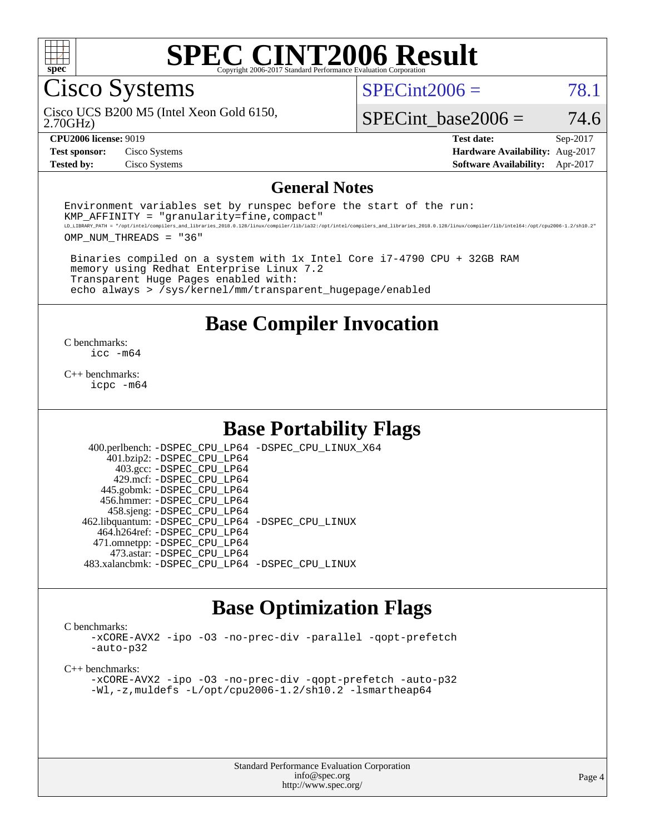

# Cisco Systems

Cisco UCS B200 M5 (Intel Xeon Gold 6150,

2.70GHz)

 $SPECint2006 = 78.1$  $SPECint2006 = 78.1$ 

SPECint base2006 =  $74.6$ 

**[CPU2006 license:](http://www.spec.org/auto/cpu2006/Docs/result-fields.html#CPU2006license)** 9019 **[Test date:](http://www.spec.org/auto/cpu2006/Docs/result-fields.html#Testdate)** Sep-2017 **[Test sponsor:](http://www.spec.org/auto/cpu2006/Docs/result-fields.html#Testsponsor)** Cisco Systems **[Hardware Availability:](http://www.spec.org/auto/cpu2006/Docs/result-fields.html#HardwareAvailability)** Aug-2017 **[Tested by:](http://www.spec.org/auto/cpu2006/Docs/result-fields.html#Testedby)** Cisco Systems **[Software Availability:](http://www.spec.org/auto/cpu2006/Docs/result-fields.html#SoftwareAvailability)** Apr-2017

#### **[General Notes](http://www.spec.org/auto/cpu2006/Docs/result-fields.html#GeneralNotes)**

Environment variables set by runspec before the start of the run:  $KMP$  AFFINITY = "granularity=fine, compact" LD\_LIBRARY\_PATH = "/opt/intel/compilers\_and\_libraries\_2018.0.128/linux/compiler/lib/ia32:/opt/intel/compilers\_and\_libraries\_2018.0.128/linux/compiler/lib/intel64:/opt/cpu2006-1.2/sh10.2"

OMP\_NUM\_THREADS = "36"

 Binaries compiled on a system with 1x Intel Core i7-4790 CPU + 32GB RAM memory using Redhat Enterprise Linux 7.2 Transparent Huge Pages enabled with: echo always > /sys/kernel/mm/transparent\_hugepage/enabled

#### **[Base Compiler Invocation](http://www.spec.org/auto/cpu2006/Docs/result-fields.html#BaseCompilerInvocation)**

[C benchmarks](http://www.spec.org/auto/cpu2006/Docs/result-fields.html#Cbenchmarks): [icc -m64](http://www.spec.org/cpu2006/results/res2017q4/cpu2006-20171003-50264.flags.html#user_CCbase_intel_icc_64bit_bda6cc9af1fdbb0edc3795bac97ada53)

[C++ benchmarks:](http://www.spec.org/auto/cpu2006/Docs/result-fields.html#CXXbenchmarks) [icpc -m64](http://www.spec.org/cpu2006/results/res2017q4/cpu2006-20171003-50264.flags.html#user_CXXbase_intel_icpc_64bit_fc66a5337ce925472a5c54ad6a0de310)

## **[Base Portability Flags](http://www.spec.org/auto/cpu2006/Docs/result-fields.html#BasePortabilityFlags)**

 400.perlbench: [-DSPEC\\_CPU\\_LP64](http://www.spec.org/cpu2006/results/res2017q4/cpu2006-20171003-50264.flags.html#b400.perlbench_basePORTABILITY_DSPEC_CPU_LP64) [-DSPEC\\_CPU\\_LINUX\\_X64](http://www.spec.org/cpu2006/results/res2017q4/cpu2006-20171003-50264.flags.html#b400.perlbench_baseCPORTABILITY_DSPEC_CPU_LINUX_X64) 401.bzip2: [-DSPEC\\_CPU\\_LP64](http://www.spec.org/cpu2006/results/res2017q4/cpu2006-20171003-50264.flags.html#suite_basePORTABILITY401_bzip2_DSPEC_CPU_LP64) 403.gcc: [-DSPEC\\_CPU\\_LP64](http://www.spec.org/cpu2006/results/res2017q4/cpu2006-20171003-50264.flags.html#suite_basePORTABILITY403_gcc_DSPEC_CPU_LP64) 429.mcf: [-DSPEC\\_CPU\\_LP64](http://www.spec.org/cpu2006/results/res2017q4/cpu2006-20171003-50264.flags.html#suite_basePORTABILITY429_mcf_DSPEC_CPU_LP64) 445.gobmk: [-DSPEC\\_CPU\\_LP64](http://www.spec.org/cpu2006/results/res2017q4/cpu2006-20171003-50264.flags.html#suite_basePORTABILITY445_gobmk_DSPEC_CPU_LP64) 456.hmmer: [-DSPEC\\_CPU\\_LP64](http://www.spec.org/cpu2006/results/res2017q4/cpu2006-20171003-50264.flags.html#suite_basePORTABILITY456_hmmer_DSPEC_CPU_LP64) 458.sjeng: [-DSPEC\\_CPU\\_LP64](http://www.spec.org/cpu2006/results/res2017q4/cpu2006-20171003-50264.flags.html#suite_basePORTABILITY458_sjeng_DSPEC_CPU_LP64) 462.libquantum: [-DSPEC\\_CPU\\_LP64](http://www.spec.org/cpu2006/results/res2017q4/cpu2006-20171003-50264.flags.html#suite_basePORTABILITY462_libquantum_DSPEC_CPU_LP64) [-DSPEC\\_CPU\\_LINUX](http://www.spec.org/cpu2006/results/res2017q4/cpu2006-20171003-50264.flags.html#b462.libquantum_baseCPORTABILITY_DSPEC_CPU_LINUX) 464.h264ref: [-DSPEC\\_CPU\\_LP64](http://www.spec.org/cpu2006/results/res2017q4/cpu2006-20171003-50264.flags.html#suite_basePORTABILITY464_h264ref_DSPEC_CPU_LP64) 471.omnetpp: [-DSPEC\\_CPU\\_LP64](http://www.spec.org/cpu2006/results/res2017q4/cpu2006-20171003-50264.flags.html#suite_basePORTABILITY471_omnetpp_DSPEC_CPU_LP64) 473.astar: [-DSPEC\\_CPU\\_LP64](http://www.spec.org/cpu2006/results/res2017q4/cpu2006-20171003-50264.flags.html#suite_basePORTABILITY473_astar_DSPEC_CPU_LP64) 483.xalancbmk: [-DSPEC\\_CPU\\_LP64](http://www.spec.org/cpu2006/results/res2017q4/cpu2006-20171003-50264.flags.html#suite_basePORTABILITY483_xalancbmk_DSPEC_CPU_LP64) [-DSPEC\\_CPU\\_LINUX](http://www.spec.org/cpu2006/results/res2017q4/cpu2006-20171003-50264.flags.html#b483.xalancbmk_baseCXXPORTABILITY_DSPEC_CPU_LINUX)

## **[Base Optimization Flags](http://www.spec.org/auto/cpu2006/Docs/result-fields.html#BaseOptimizationFlags)**

[C benchmarks](http://www.spec.org/auto/cpu2006/Docs/result-fields.html#Cbenchmarks):

[-xCORE-AVX2](http://www.spec.org/cpu2006/results/res2017q4/cpu2006-20171003-50264.flags.html#user_CCbase_f-xCORE-AVX2) [-ipo](http://www.spec.org/cpu2006/results/res2017q4/cpu2006-20171003-50264.flags.html#user_CCbase_f-ipo) [-O3](http://www.spec.org/cpu2006/results/res2017q4/cpu2006-20171003-50264.flags.html#user_CCbase_f-O3) [-no-prec-div](http://www.spec.org/cpu2006/results/res2017q4/cpu2006-20171003-50264.flags.html#user_CCbase_f-no-prec-div) [-parallel](http://www.spec.org/cpu2006/results/res2017q4/cpu2006-20171003-50264.flags.html#user_CCbase_f-parallel) [-qopt-prefetch](http://www.spec.org/cpu2006/results/res2017q4/cpu2006-20171003-50264.flags.html#user_CCbase_f-qopt-prefetch) [-auto-p32](http://www.spec.org/cpu2006/results/res2017q4/cpu2006-20171003-50264.flags.html#user_CCbase_f-auto-p32)

[C++ benchmarks:](http://www.spec.org/auto/cpu2006/Docs/result-fields.html#CXXbenchmarks)

[-xCORE-AVX2](http://www.spec.org/cpu2006/results/res2017q4/cpu2006-20171003-50264.flags.html#user_CXXbase_f-xCORE-AVX2) [-ipo](http://www.spec.org/cpu2006/results/res2017q4/cpu2006-20171003-50264.flags.html#user_CXXbase_f-ipo) [-O3](http://www.spec.org/cpu2006/results/res2017q4/cpu2006-20171003-50264.flags.html#user_CXXbase_f-O3) [-no-prec-div](http://www.spec.org/cpu2006/results/res2017q4/cpu2006-20171003-50264.flags.html#user_CXXbase_f-no-prec-div) [-qopt-prefetch](http://www.spec.org/cpu2006/results/res2017q4/cpu2006-20171003-50264.flags.html#user_CXXbase_f-qopt-prefetch) [-auto-p32](http://www.spec.org/cpu2006/results/res2017q4/cpu2006-20171003-50264.flags.html#user_CXXbase_f-auto-p32) [-Wl,-z,muldefs](http://www.spec.org/cpu2006/results/res2017q4/cpu2006-20171003-50264.flags.html#user_CXXbase_link_force_multiple1_74079c344b956b9658436fd1b6dd3a8a) [-L/opt/cpu2006-1.2/sh10.2 -lsmartheap64](http://www.spec.org/cpu2006/results/res2017q4/cpu2006-20171003-50264.flags.html#user_CXXbase_SmartHeap64_ac7189ff96af0c569ef6f8e96b0554f2)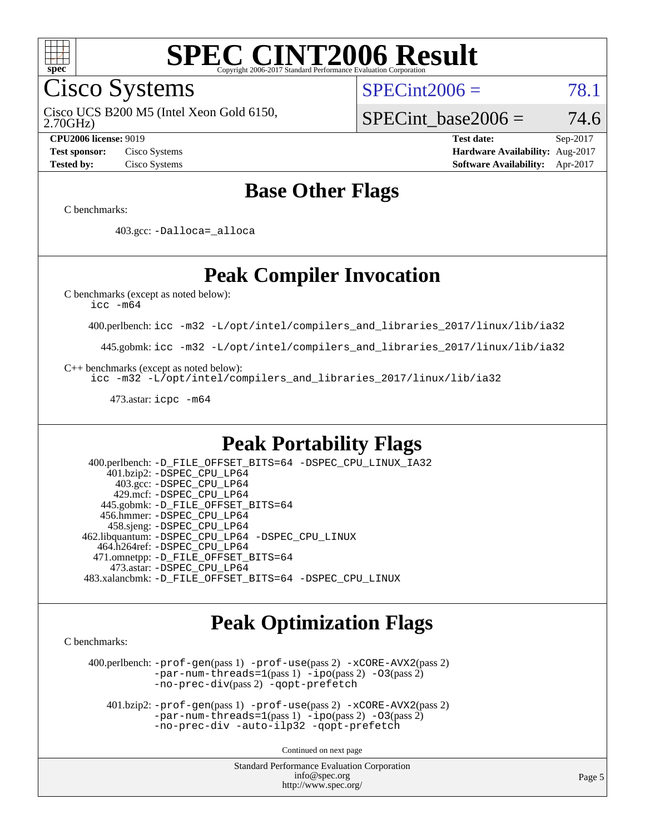

Cisco Systems

 $SPECint2006 = 78.1$  $SPECint2006 = 78.1$ 

2.70GHz) Cisco UCS B200 M5 (Intel Xeon Gold 6150,

SPECint base2006 =  $74.6$ 

**[CPU2006 license:](http://www.spec.org/auto/cpu2006/Docs/result-fields.html#CPU2006license)** 9019 **[Test date:](http://www.spec.org/auto/cpu2006/Docs/result-fields.html#Testdate)** Sep-2017 **[Test sponsor:](http://www.spec.org/auto/cpu2006/Docs/result-fields.html#Testsponsor)** Cisco Systems **[Hardware Availability:](http://www.spec.org/auto/cpu2006/Docs/result-fields.html#HardwareAvailability)** Aug-2017 **[Tested by:](http://www.spec.org/auto/cpu2006/Docs/result-fields.html#Testedby)** Cisco Systems **[Software Availability:](http://www.spec.org/auto/cpu2006/Docs/result-fields.html#SoftwareAvailability)** Apr-2017

## **[Base Other Flags](http://www.spec.org/auto/cpu2006/Docs/result-fields.html#BaseOtherFlags)**

[C benchmarks](http://www.spec.org/auto/cpu2006/Docs/result-fields.html#Cbenchmarks):

403.gcc: [-Dalloca=\\_alloca](http://www.spec.org/cpu2006/results/res2017q4/cpu2006-20171003-50264.flags.html#b403.gcc_baseEXTRA_CFLAGS_Dalloca_be3056838c12de2578596ca5467af7f3)

## **[Peak Compiler Invocation](http://www.spec.org/auto/cpu2006/Docs/result-fields.html#PeakCompilerInvocation)**

[C benchmarks \(except as noted below\)](http://www.spec.org/auto/cpu2006/Docs/result-fields.html#Cbenchmarksexceptasnotedbelow):

[icc -m64](http://www.spec.org/cpu2006/results/res2017q4/cpu2006-20171003-50264.flags.html#user_CCpeak_intel_icc_64bit_bda6cc9af1fdbb0edc3795bac97ada53)

400.perlbench: [icc -m32 -L/opt/intel/compilers\\_and\\_libraries\\_2017/linux/lib/ia32](http://www.spec.org/cpu2006/results/res2017q4/cpu2006-20171003-50264.flags.html#user_peakCCLD400_perlbench_intel_icc_c29f3ff5a7ed067b11e4ec10a03f03ae)

445.gobmk: [icc -m32 -L/opt/intel/compilers\\_and\\_libraries\\_2017/linux/lib/ia32](http://www.spec.org/cpu2006/results/res2017q4/cpu2006-20171003-50264.flags.html#user_peakCCLD445_gobmk_intel_icc_c29f3ff5a7ed067b11e4ec10a03f03ae)

[C++ benchmarks \(except as noted below\):](http://www.spec.org/auto/cpu2006/Docs/result-fields.html#CXXbenchmarksexceptasnotedbelow)

[icc -m32 -L/opt/intel/compilers\\_and\\_libraries\\_2017/linux/lib/ia32](http://www.spec.org/cpu2006/results/res2017q4/cpu2006-20171003-50264.flags.html#user_CXXpeak_intel_icc_c29f3ff5a7ed067b11e4ec10a03f03ae)

473.astar: [icpc -m64](http://www.spec.org/cpu2006/results/res2017q4/cpu2006-20171003-50264.flags.html#user_peakCXXLD473_astar_intel_icpc_64bit_fc66a5337ce925472a5c54ad6a0de310)

## **[Peak Portability Flags](http://www.spec.org/auto/cpu2006/Docs/result-fields.html#PeakPortabilityFlags)**

 400.perlbench: [-D\\_FILE\\_OFFSET\\_BITS=64](http://www.spec.org/cpu2006/results/res2017q4/cpu2006-20171003-50264.flags.html#user_peakPORTABILITY400_perlbench_file_offset_bits_64_438cf9856305ebd76870a2c6dc2689ab) [-DSPEC\\_CPU\\_LINUX\\_IA32](http://www.spec.org/cpu2006/results/res2017q4/cpu2006-20171003-50264.flags.html#b400.perlbench_peakCPORTABILITY_DSPEC_CPU_LINUX_IA32) 401.bzip2: [-DSPEC\\_CPU\\_LP64](http://www.spec.org/cpu2006/results/res2017q4/cpu2006-20171003-50264.flags.html#suite_peakPORTABILITY401_bzip2_DSPEC_CPU_LP64) 403.gcc: [-DSPEC\\_CPU\\_LP64](http://www.spec.org/cpu2006/results/res2017q4/cpu2006-20171003-50264.flags.html#suite_peakPORTABILITY403_gcc_DSPEC_CPU_LP64) 429.mcf: [-DSPEC\\_CPU\\_LP64](http://www.spec.org/cpu2006/results/res2017q4/cpu2006-20171003-50264.flags.html#suite_peakPORTABILITY429_mcf_DSPEC_CPU_LP64) 445.gobmk: [-D\\_FILE\\_OFFSET\\_BITS=64](http://www.spec.org/cpu2006/results/res2017q4/cpu2006-20171003-50264.flags.html#user_peakPORTABILITY445_gobmk_file_offset_bits_64_438cf9856305ebd76870a2c6dc2689ab) 456.hmmer: [-DSPEC\\_CPU\\_LP64](http://www.spec.org/cpu2006/results/res2017q4/cpu2006-20171003-50264.flags.html#suite_peakPORTABILITY456_hmmer_DSPEC_CPU_LP64) 458.sjeng: [-DSPEC\\_CPU\\_LP64](http://www.spec.org/cpu2006/results/res2017q4/cpu2006-20171003-50264.flags.html#suite_peakPORTABILITY458_sjeng_DSPEC_CPU_LP64) 462.libquantum: [-DSPEC\\_CPU\\_LP64](http://www.spec.org/cpu2006/results/res2017q4/cpu2006-20171003-50264.flags.html#suite_peakPORTABILITY462_libquantum_DSPEC_CPU_LP64) [-DSPEC\\_CPU\\_LINUX](http://www.spec.org/cpu2006/results/res2017q4/cpu2006-20171003-50264.flags.html#b462.libquantum_peakCPORTABILITY_DSPEC_CPU_LINUX) 464.h264ref: [-DSPEC\\_CPU\\_LP64](http://www.spec.org/cpu2006/results/res2017q4/cpu2006-20171003-50264.flags.html#suite_peakPORTABILITY464_h264ref_DSPEC_CPU_LP64) 471.omnetpp: [-D\\_FILE\\_OFFSET\\_BITS=64](http://www.spec.org/cpu2006/results/res2017q4/cpu2006-20171003-50264.flags.html#user_peakPORTABILITY471_omnetpp_file_offset_bits_64_438cf9856305ebd76870a2c6dc2689ab) 473.astar: [-DSPEC\\_CPU\\_LP64](http://www.spec.org/cpu2006/results/res2017q4/cpu2006-20171003-50264.flags.html#suite_peakPORTABILITY473_astar_DSPEC_CPU_LP64) 483.xalancbmk: [-D\\_FILE\\_OFFSET\\_BITS=64](http://www.spec.org/cpu2006/results/res2017q4/cpu2006-20171003-50264.flags.html#user_peakPORTABILITY483_xalancbmk_file_offset_bits_64_438cf9856305ebd76870a2c6dc2689ab) [-DSPEC\\_CPU\\_LINUX](http://www.spec.org/cpu2006/results/res2017q4/cpu2006-20171003-50264.flags.html#b483.xalancbmk_peakCXXPORTABILITY_DSPEC_CPU_LINUX)

## **[Peak Optimization Flags](http://www.spec.org/auto/cpu2006/Docs/result-fields.html#PeakOptimizationFlags)**

[C benchmarks](http://www.spec.org/auto/cpu2006/Docs/result-fields.html#Cbenchmarks):

 400.perlbench: [-prof-gen](http://www.spec.org/cpu2006/results/res2017q4/cpu2006-20171003-50264.flags.html#user_peakPASS1_CFLAGSPASS1_LDCFLAGS400_perlbench_prof_gen_e43856698f6ca7b7e442dfd80e94a8fc)(pass 1) [-prof-use](http://www.spec.org/cpu2006/results/res2017q4/cpu2006-20171003-50264.flags.html#user_peakPASS2_CFLAGSPASS2_LDCFLAGS400_perlbench_prof_use_bccf7792157ff70d64e32fe3e1250b55)(pass 2) [-xCORE-AVX2](http://www.spec.org/cpu2006/results/res2017q4/cpu2006-20171003-50264.flags.html#user_peakPASS2_CFLAGSPASS2_LDCFLAGS400_perlbench_f-xCORE-AVX2)(pass 2) [-par-num-threads=1](http://www.spec.org/cpu2006/results/res2017q4/cpu2006-20171003-50264.flags.html#user_peakPASS1_CFLAGSPASS1_LDCFLAGS400_perlbench_par_num_threads_786a6ff141b4e9e90432e998842df6c2)(pass 1) [-ipo](http://www.spec.org/cpu2006/results/res2017q4/cpu2006-20171003-50264.flags.html#user_peakPASS2_CFLAGSPASS2_LDCFLAGS400_perlbench_f-ipo)(pass 2) [-O3](http://www.spec.org/cpu2006/results/res2017q4/cpu2006-20171003-50264.flags.html#user_peakPASS2_CFLAGSPASS2_LDCFLAGS400_perlbench_f-O3)(pass 2) [-no-prec-div](http://www.spec.org/cpu2006/results/res2017q4/cpu2006-20171003-50264.flags.html#user_peakPASS2_CFLAGSPASS2_LDCFLAGS400_perlbench_f-no-prec-div)(pass 2) [-qopt-prefetch](http://www.spec.org/cpu2006/results/res2017q4/cpu2006-20171003-50264.flags.html#user_peakCOPTIMIZE400_perlbench_f-qopt-prefetch)

 401.bzip2: [-prof-gen](http://www.spec.org/cpu2006/results/res2017q4/cpu2006-20171003-50264.flags.html#user_peakPASS1_CFLAGSPASS1_LDCFLAGS401_bzip2_prof_gen_e43856698f6ca7b7e442dfd80e94a8fc)(pass 1) [-prof-use](http://www.spec.org/cpu2006/results/res2017q4/cpu2006-20171003-50264.flags.html#user_peakPASS2_CFLAGSPASS2_LDCFLAGS401_bzip2_prof_use_bccf7792157ff70d64e32fe3e1250b55)(pass 2) [-xCORE-AVX2](http://www.spec.org/cpu2006/results/res2017q4/cpu2006-20171003-50264.flags.html#user_peakPASS2_CFLAGSPASS2_LDCFLAGS401_bzip2_f-xCORE-AVX2)(pass 2)  $-par-num-threads=1(pass 1) -ipo(pass 2) -O3(pass 2)$  $-par-num-threads=1(pass 1) -ipo(pass 2) -O3(pass 2)$  $-par-num-threads=1(pass 1) -ipo(pass 2) -O3(pass 2)$  $-par-num-threads=1(pass 1) -ipo(pass 2) -O3(pass 2)$  $-par-num-threads=1(pass 1) -ipo(pass 2) -O3(pass 2)$  $-par-num-threads=1(pass 1) -ipo(pass 2) -O3(pass 2)$ [-no-prec-div](http://www.spec.org/cpu2006/results/res2017q4/cpu2006-20171003-50264.flags.html#user_peakCOPTIMIZEPASS2_CFLAGSPASS2_LDCFLAGS401_bzip2_f-no-prec-div) [-auto-ilp32](http://www.spec.org/cpu2006/results/res2017q4/cpu2006-20171003-50264.flags.html#user_peakCOPTIMIZE401_bzip2_f-auto-ilp32) [-qopt-prefetch](http://www.spec.org/cpu2006/results/res2017q4/cpu2006-20171003-50264.flags.html#user_peakCOPTIMIZE401_bzip2_f-qopt-prefetch)

Continued on next page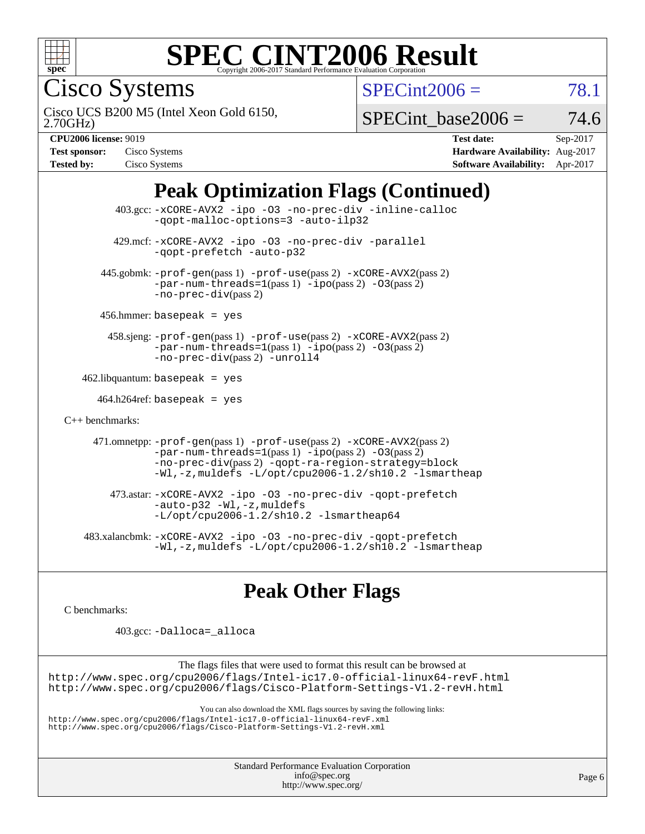

Cisco Systems

 $SPECint2006 = 78.1$  $SPECint2006 = 78.1$ 

2.70GHz) Cisco UCS B200 M5 (Intel Xeon Gold 6150,

 $SPECTnt\_base2006 = 74.6$ 

| <b>Test sponsor:</b> | Cisco Systems |
|----------------------|---------------|
| <b>Tested by:</b>    | Cisco Systems |

**[CPU2006 license:](http://www.spec.org/auto/cpu2006/Docs/result-fields.html#CPU2006license)** 9019 **[Test date:](http://www.spec.org/auto/cpu2006/Docs/result-fields.html#Testdate)** Sep-2017 **[Hardware Availability:](http://www.spec.org/auto/cpu2006/Docs/result-fields.html#HardwareAvailability)** Aug-2017 **[Software Availability:](http://www.spec.org/auto/cpu2006/Docs/result-fields.html#SoftwareAvailability)** Apr-2017

## **[Peak Optimization Flags \(Continued\)](http://www.spec.org/auto/cpu2006/Docs/result-fields.html#PeakOptimizationFlags)**

|                                   | $403.\text{sec}: -x \text{CORE-AVX2}$ -ipo -03 -no-prec-div -inline-calloc<br>-gopt-malloc-options=3 -auto-ilp32                                                                                                                                     |  |  |  |  |
|-----------------------------------|------------------------------------------------------------------------------------------------------------------------------------------------------------------------------------------------------------------------------------------------------|--|--|--|--|
|                                   | 429.mcf: -xCORE-AVX2 -ipo -03 -no-prec-div -parallel<br>-gopt-prefetch -auto-p32                                                                                                                                                                     |  |  |  |  |
|                                   | 445.gobmk: -prof-gen(pass 1) -prof-use(pass 2) -xCORE-AVX2(pass 2)<br>$-par-num-threads=1(pass 1) -ipo(pass 2) -03(pass 2)$<br>$-no-prec-div(pass 2)$                                                                                                |  |  |  |  |
|                                   | $456.$ hmmer: basepeak = yes                                                                                                                                                                                                                         |  |  |  |  |
|                                   | 458.sjeng: -prof-gen(pass 1) -prof-use(pass 2) -xCORE-AVX2(pass 2)<br>$-par-num-threads=1(pass 1) -ipo(pass 2) -03(pass 2)$<br>-no-prec-div(pass 2) -unroll4                                                                                         |  |  |  |  |
| $462$ .libquantum: basepeak = yes |                                                                                                                                                                                                                                                      |  |  |  |  |
|                                   | $464.h264 \text{ref}$ : basepeak = yes                                                                                                                                                                                                               |  |  |  |  |
| $C_{++}$ benchmarks:              |                                                                                                                                                                                                                                                      |  |  |  |  |
|                                   | 471.omnetpp: -prof-gen(pass 1) -prof-use(pass 2) -xCORE-AVX2(pass 2)<br>$-par-num-threads=1(pass 1) -ipo(pass 2) -03(pass 2)$<br>-no-prec-div(pass 2) -qopt-ra-region-strategy=block<br>$-Wl$ , -z, muldefs $-L$ /opt/cpu2006-1.2/sh10.2 -lsmartheap |  |  |  |  |
|                                   | 473.astar: -xCORE-AVX2 -ipo -03 -no-prec-div -qopt-prefetch<br>$-auto-p32 - W1, -z$ , muldefs<br>$-L$ /opt/cpu2006-1.2/sh10.2 -lsmartheap64                                                                                                          |  |  |  |  |
|                                   | 483.xalancbmk: -xCORE-AVX2 -ipo -03 -no-prec-div -qopt-prefetch<br>$-Wl$ , -z, muldefs -L/opt/cpu2006-1.2/sh10.2 -lsmartheap                                                                                                                         |  |  |  |  |

## **[Peak Other Flags](http://www.spec.org/auto/cpu2006/Docs/result-fields.html#PeakOtherFlags)**

[C benchmarks](http://www.spec.org/auto/cpu2006/Docs/result-fields.html#Cbenchmarks):

403.gcc: [-Dalloca=\\_alloca](http://www.spec.org/cpu2006/results/res2017q4/cpu2006-20171003-50264.flags.html#b403.gcc_peakEXTRA_CFLAGS_Dalloca_be3056838c12de2578596ca5467af7f3)

The flags files that were used to format this result can be browsed at

<http://www.spec.org/cpu2006/flags/Intel-ic17.0-official-linux64-revF.html> <http://www.spec.org/cpu2006/flags/Cisco-Platform-Settings-V1.2-revH.html>

You can also download the XML flags sources by saving the following links: <http://www.spec.org/cpu2006/flags/Intel-ic17.0-official-linux64-revF.xml> <http://www.spec.org/cpu2006/flags/Cisco-Platform-Settings-V1.2-revH.xml>